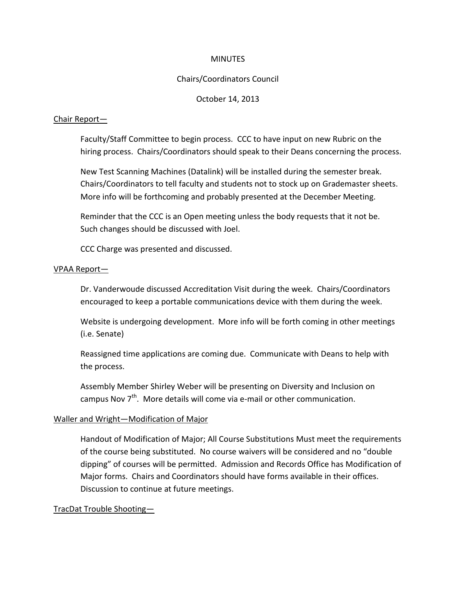#### **MINUTES**

# Chairs/Coordinators Council

#### October 14, 2013

#### Chair Report—

Faculty/Staff Committee to begin process. CCC to have input on new Rubric on the hiring process. Chairs/Coordinators should speak to their Deans concerning the process.

New Test Scanning Machines (Datalink) will be installed during the semester break. Chairs/Coordinators to tell faculty and students not to stock up on Grademaster sheets. More info will be forthcoming and probably presented at the December Meeting.

Reminder that the CCC is an Open meeting unless the body requests that it not be. Such changes should be discussed with Joel.

CCC Charge was presented and discussed.

# VPAA Report—

Dr. Vanderwoude discussed Accreditation Visit during the week. Chairs/Coordinators encouraged to keep a portable communications device with them during the week.

Website is undergoing development. More info will be forth coming in other meetings (i.e. Senate)

Reassigned time applications are coming due. Communicate with Deans to help with the process.

Assembly Member Shirley Weber will be presenting on Diversity and Inclusion on campus Nov  $7<sup>th</sup>$ . More details will come via e-mail or other communication.

# Waller and Wright—Modification of Major

Handout of Modification of Major; All Course Substitutions Must meet the requirements of the course being substituted. No course waivers will be considered and no "double dipping" of courses will be permitted. Admission and Records Office has Modification of Major forms. Chairs and Coordinators should have forms available in their offices. Discussion to continue at future meetings.

# TracDat Trouble Shooting—